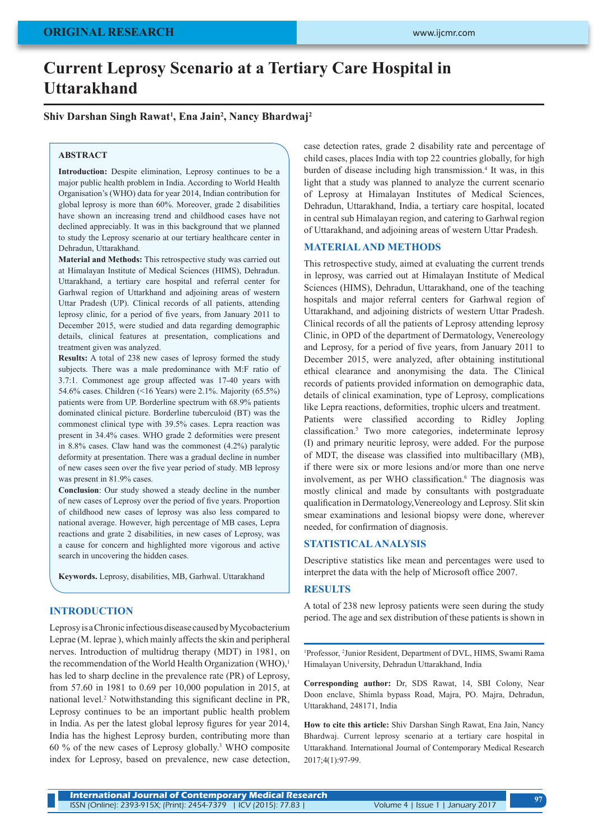# **Current Leprosy Scenario at a Tertiary Care Hospital in Uttarakhand**

# **Shiv Darshan Singh Rawat1 , Ena Jain2 , Nancy Bhardwaj2**

#### **ABSTRACT**

**Introduction:** Despite elimination, Leprosy continues to be a major public health problem in India. According to World Health Organisation's (WHO) data for year 2014, Indian contribution for global leprosy is more than 60%. Moreover, grade 2 disabilities have shown an increasing trend and childhood cases have not declined appreciably. It was in this background that we planned to study the Leprosy scenario at our tertiary healthcare center in Dehradun, Uttarakhand.

**Material and Methods:** This retrospective study was carried out at Himalayan Institute of Medical Sciences (HIMS), Dehradun. Uttarakhand, a tertiary care hospital and referral center for Garhwal region of Uttarkhand and adjoining areas of western Uttar Pradesh (UP). Clinical records of all patients, attending leprosy clinic, for a period of five years, from January 2011 to December 2015, were studied and data regarding demographic details, clinical features at presentation, complications and treatment given was analyzed.

**Results:** A total of 238 new cases of leprosy formed the study subjects. There was a male predominance with M:F ratio of 3.7:1. Commonest age group affected was 17-40 years with 54.6% cases. Children (<16 Years) were 2.1%. Majority (65.5%) patients were from UP. Borderline spectrum with 68.9% patients dominated clinical picture. Borderline tuberculoid (BT) was the commonest clinical type with 39.5% cases. Lepra reaction was present in 34.4% cases. WHO grade 2 deformities were present in 8.8% cases. Claw hand was the commonest (4.2%) paralytic deformity at presentation. There was a gradual decline in number of new cases seen over the five year period of study. MB leprosy was present in 81.9% cases.

**Conclusion**: Our study showed a steady decline in the number of new cases of Leprosy over the period of five years. Proportion of childhood new cases of leprosy was also less compared to national average. However, high percentage of MB cases, Lepra reactions and grate 2 disabilities, in new cases of Leprosy, was a cause for concern and highlighted more vigorous and active search in uncovering the hidden cases.

**Keywords.** Leprosy, disabilities, MB, Garhwal. Uttarakhand

# **INTRODUCTION**

Leprosy is a Chronic infectious disease caused by Mycobacterium Leprae (M. leprae ), which mainly affects the skin and peripheral nerves. Introduction of multidrug therapy (MDT) in 1981, on the recommendation of the World Health Organization (WHO).<sup>1</sup> has led to sharp decline in the prevalence rate (PR) of Leprosy, from 57.60 in 1981 to 0.69 per 10,000 population in 2015, at national level.2 Notwithstanding this significant decline in PR, Leprosy continues to be an important public health problem in India. As per the latest global leprosy figures for year 2014, India has the highest Leprosy burden, contributing more than 60 % of the new cases of Leprosy globally.3 WHO composite index for Leprosy, based on prevalence, new case detection,

case detection rates, grade 2 disability rate and percentage of child cases, places India with top 22 countries globally, for high burden of disease including high transmission.<sup>4</sup> It was, in this light that a study was planned to analyze the current scenario of Leprosy at Himalayan Institutes of Medical Sciences, Dehradun, Uttarakhand, India, a tertiary care hospital, located in central sub Himalayan region, and catering to Garhwal region of Uttarakhand, and adjoining areas of western Uttar Pradesh.

## **MATERIAL AND METHODS**

This retrospective study, aimed at evaluating the current trends in leprosy, was carried out at Himalayan Institute of Medical Sciences (HIMS), Dehradun, Uttarakhand, one of the teaching hospitals and major referral centers for Garhwal region of Uttarakhand, and adjoining districts of western Uttar Pradesh. Clinical records of all the patients of Leprosy attending leprosy Clinic, in OPD of the department of Dermatology, Venereology and Leprosy, for a period of five years, from January 2011 to December 2015, were analyzed, after obtaining institutional ethical clearance and anonymising the data. The Clinical records of patients provided information on demographic data, details of clinical examination, type of Leprosy, complications like Lepra reactions, deformities, trophic ulcers and treatment. Patients were classified according to Ridley Jopling classification.<sup>5</sup> Two more categories, indeterminate leprosy (I) and primary neuritic leprosy, were added. For the purpose of MDT, the disease was classified into multibacillary (MB), if there were six or more lesions and/or more than one nerve involvement, as per WHO classification.<sup>6</sup> The diagnosis was mostly clinical and made by consultants with postgraduate qualification in Dermatology,Venereology and Leprosy. Slit skin smear examinations and lesional biopsy were done, wherever needed, for confirmation of diagnosis.

## **STATISTICAL ANALYSIS**

Descriptive statistics like mean and percentages were used to interpret the data with the help of Microsoft office 2007.

# **RESULTS**

A total of 238 new leprosy patients were seen during the study period. The age and sex distribution of these patients is shown in

1 Professor, 2 Junior Resident, Department of DVL, HIMS, Swami Rama Himalayan University, Dehradun Uttarakhand, India

**Corresponding author:** Dr, SDS Rawat, 14, SBI Colony, Near Doon enclave, Shimla bypass Road, Majra, PO. Majra, Dehradun, Uttarakhand, 248171, India

**How to cite this article:** Shiv Darshan Singh Rawat, Ena Jain, Nancy Bhardwaj. Current leprosy scenario at a tertiary care hospital in Uttarakhand. International Journal of Contemporary Medical Research 2017;4(1):97-99.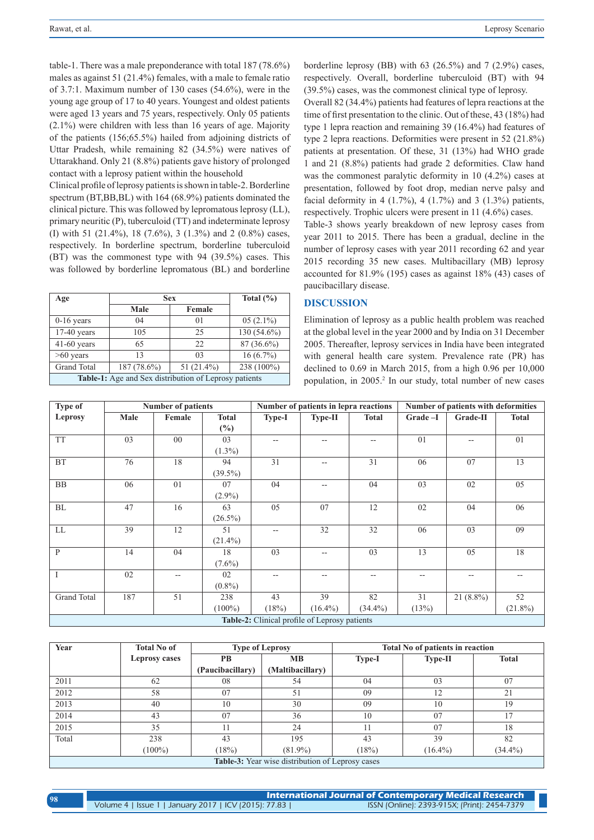table-1. There was a male preponderance with total 187 (78.6%) males as against 51 (21.4%) females, with a male to female ratio of 3.7:1. Maximum number of 130 cases (54.6%), were in the young age group of 17 to 40 years. Youngest and oldest patients were aged 13 years and 75 years, respectively. Only 05 patients (2.1%) were children with less than 16 years of age. Majority of the patients (156;65.5%) hailed from adjoining districts of Uttar Pradesh, while remaining 82 (34.5%) were natives of Uttarakhand. Only 21 (8.8%) patients gave history of prolonged contact with a leprosy patient within the household

Clinical profile of leprosy patients is shown in table-2. Borderline spectrum (BT,BB,BL) with 164 (68.9%) patients dominated the clinical picture. This was followed by lepromatous leprosy (LL), primary neuritic (P), tuberculoid (TT) and indeterminate leprosy (I) with 51 (21.4%), 18 (7.6%), 3 (1.3%) and 2 (0.8%) cases, respectively. In borderline spectrum, borderline tuberculoid (BT) was the commonest type with 94 (39.5%) cases. This was followed by borderline lepromatous (BL) and borderline

| Age                                                          | <b>Sex</b>    | Total $(\% )$  |               |  |  |  |
|--------------------------------------------------------------|---------------|----------------|---------------|--|--|--|
|                                                              | Male          | Female         |               |  |  |  |
| $0-16$ years                                                 | 04            | 0 <sub>1</sub> | $05(2.1\%)$   |  |  |  |
| $17-40$ years                                                | 105           | 25             | $130(54.6\%)$ |  |  |  |
| $41-60$ years                                                | 65            | 22             | 87 (36.6%)    |  |  |  |
| $>60$ years                                                  | 13            | 0 <sup>3</sup> | $16(6.7\%)$   |  |  |  |
| <b>Grand Total</b>                                           | $187(78.6\%)$ | 51 $(21.4\%)$  | 238 (100%)    |  |  |  |
| <b>Table-1:</b> Age and Sex distribution of Leprosy patients |               |                |               |  |  |  |

borderline leprosy (BB) with 63 (26.5%) and 7 (2.9%) cases, respectively. Overall, borderline tuberculoid (BT) with 94 (39.5%) cases, was the commonest clinical type of leprosy.

Overall 82 (34.4%) patients had features of lepra reactions at the time of first presentation to the clinic. Out of these, 43 (18%) had type 1 lepra reaction and remaining 39 (16.4%) had features of type 2 lepra reactions. Deformities were present in 52 (21.8%) patients at presentation. Of these, 31 (13%) had WHO grade 1 and 21 (8.8%) patients had grade 2 deformities. Claw hand was the commonest paralytic deformity in 10 (4.2%) cases at presentation, followed by foot drop, median nerve palsy and facial deformity in 4  $(1.7\%)$ , 4  $(1.7\%)$  and 3  $(1.3\%)$  patients, respectively. Trophic ulcers were present in 11 (4.6%) cases.

Table-3 shows yearly breakdown of new leprosy cases from year 2011 to 2015. There has been a gradual, decline in the number of leprosy cases with year 2011 recording 62 and year 2015 recording 35 new cases. Multibacillary (MB) leprosy accounted for 81.9% (195) cases as against 18% (43) cases of paucibacillary disease.

## **DISCUSSION**

Elimination of leprosy as a public health problem was reached at the global level in the year 2000 and by India on 31 December 2005. Thereafter, leprosy services in India have been integrated with general health care system. Prevalence rate (PR) has declined to 0.69 in March 2015, from a high 0.96 per 10,000 population, in 2005.<sup>2</sup> In our study, total number of new cases

| Type of                                       | <b>Number of patients</b> |                |              | Number of patients in lepra reactions |            |              | Number of patients with deformities |             |              |
|-----------------------------------------------|---------------------------|----------------|--------------|---------------------------------------|------------|--------------|-------------------------------------|-------------|--------------|
| Leprosy                                       | Male                      | Female         | <b>Total</b> | Type-I                                | Type-II    | <b>Total</b> | Grade-I                             | Grade-II    | <b>Total</b> |
|                                               |                           |                | $(\%)$       |                                       |            |              |                                     |             |              |
| <b>TT</b>                                     | 03                        | $00\,$         | 03           | $- -$                                 | $- -$      |              | 01                                  | $- -$       | 01           |
|                                               |                           |                | $(1.3\%)$    |                                       |            |              |                                     |             |              |
| $\operatorname{BT}$                           | 76                        | 18             | 94           | 31                                    | --         | 31           | 06                                  | 07          | 13           |
|                                               |                           |                | $(39.5\%)$   |                                       |            |              |                                     |             |              |
| <b>BB</b>                                     | 06                        | 0 <sub>1</sub> | 07           | 04                                    | $-$        | 04           | 03                                  | 02          | 05           |
|                                               |                           |                | $(2.9\%)$    |                                       |            |              |                                     |             |              |
| BL                                            | 47                        | 16             | 63           | 05                                    | 07         | 12           | 02                                  | 04          | 06           |
|                                               |                           |                | $(26.5\%)$   |                                       |            |              |                                     |             |              |
| LL                                            | 39                        | 12             | 51           | $-$                                   | 32         | 32           | 06                                  | 03          | 09           |
|                                               |                           |                | $(21.4\%)$   |                                       |            |              |                                     |             |              |
| $\mathbf{P}$                                  | 14                        | 04             | 18           | 03                                    | --         | 03           | 13                                  | 05          | 18           |
|                                               |                           |                | $(7.6\%)$    |                                       |            |              |                                     |             |              |
| $\mathbf{I}$                                  | 02                        | $-$            | 02           | --                                    | --         | --           | $- -$                               | $- -$       |              |
|                                               |                           |                | $(0.8\%)$    |                                       |            |              |                                     |             |              |
| Grand Total                                   | 187                       | 51             | 238          | 43                                    | 39         | 82           | 31                                  | $21(8.8\%)$ | 52           |
|                                               |                           |                | $(100\%)$    | (18%)                                 | $(16.4\%)$ | $(34.4\%)$   | (13%)                               |             | $(21.8\%)$   |
| Table-2: Clinical profile of Leprosy patients |                           |                |              |                                       |            |              |                                     |             |              |

| Year                                                    | <b>Total No of</b> | <b>Type of Leprosy</b> |                  | <b>Total No of patients in reaction</b> |                |              |
|---------------------------------------------------------|--------------------|------------------------|------------------|-----------------------------------------|----------------|--------------|
|                                                         | Leprosy cases      | PВ                     | <b>MB</b>        | <b>Type-I</b>                           | <b>Type-II</b> | <b>Total</b> |
|                                                         |                    | (Paucibacillary)       | (Maltibacillary) |                                         |                |              |
| 2011                                                    | 62                 | 08                     | 54               | 04                                      | 03             | 07           |
| 2012                                                    | 58                 | 07                     | 51               | 09                                      | 12             | 21           |
| 2013                                                    | 40                 | 10                     | 30               | 09                                      | 10             | 19           |
| 2014                                                    | 43                 | 07                     | 36               | 10                                      | 07             | 17           |
| 2015                                                    | 35                 | 11                     | 24               | 11                                      | 07             | 18           |
| Total                                                   | 238                | 43                     | 195              | 43                                      | 39             | 82           |
|                                                         | $(100\%)$          | (18%)                  | $(81.9\%)$       | (18%)                                   | $(16.4\%)$     | $(34.4\%)$   |
| <b>Table-3:</b> Year wise distribution of Leprosy cases |                    |                        |                  |                                         |                |              |